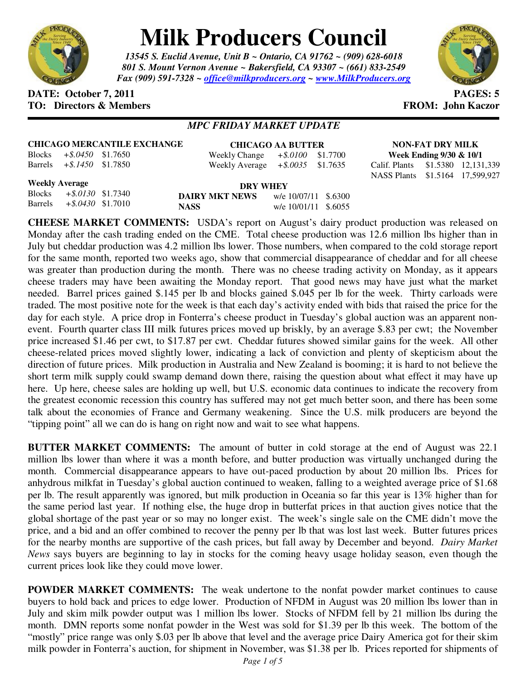

# **Milk Producers Council**

*13545 S. Euclid Avenue, Unit B ~ Ontario, CA 91762 ~ (909) 628-6018 801 S. Mount Vernon Avenue ~ Bakersfield, CA 93307 ~ (661) 833-2549 Fax (909) 591-7328 ~ office@milkproducers.org ~ www.MilkProducers.org*



### **DATE: October 7, 2011 PAGES: 5 TO: Directors & Members FROM: John Kaczor**

# *MPC FRIDAY MARKET UPDATE*

**CHICAGO MERCANTILE EXCHANGE** Blocks *+\$.0450* \$1.7650

**CHICAGO AA BUTTER** Weekly Change *+\$.0100* \$1.7700 Weekly Average *+\$.0035* \$1.7635

**NON-FAT DRY MILK Week Ending 9/30 & 10/1**  Calif. Plants \$1.5380 12,131,339 NASS Plants \$1.5164 17,599,927

**Weekly Average**

Blocks *+\$.0130* \$1.7340 Barrels *+\$.0430* \$1.7010

Barrels *+\$.1450* \$1.7850

**DRY WHEY DAIRY MKT NEWS** w/e 10/07/11 \$.6300 **NASS** w/e 10/01/11 \$.6055

**CHEESE MARKET COMMENTS:** USDA's report on August's dairy product production was released on Monday after the cash trading ended on the CME. Total cheese production was 12.6 million lbs higher than in July but cheddar production was 4.2 million lbs lower. Those numbers, when compared to the cold storage report for the same month, reported two weeks ago, show that commercial disappearance of cheddar and for all cheese was greater than production during the month. There was no cheese trading activity on Monday, as it appears cheese traders may have been awaiting the Monday report. That good news may have just what the market needed. Barrel prices gained \$.145 per lb and blocks gained \$.045 per lb for the week. Thirty carloads were traded. The most positive note for the week is that each day's activity ended with bids that raised the price for the day for each style. A price drop in Fonterra's cheese product in Tuesday's global auction was an apparent nonevent. Fourth quarter class III milk futures prices moved up briskly, by an average \$.83 per cwt; the November price increased \$1.46 per cwt, to \$17.87 per cwt. Cheddar futures showed similar gains for the week. All other cheese-related prices moved slightly lower, indicating a lack of conviction and plenty of skepticism about the direction of future prices. Milk production in Australia and New Zealand is booming; it is hard to not believe the short term milk supply could swamp demand down there, raising the question about what effect it may have up here. Up here, cheese sales are holding up well, but U.S. economic data continues to indicate the recovery from the greatest economic recession this country has suffered may not get much better soon, and there has been some talk about the economies of France and Germany weakening. Since the U.S. milk producers are beyond the "tipping point" all we can do is hang on right now and wait to see what happens.

**BUTTER MARKET COMMENTS:** The amount of butter in cold storage at the end of August was 22.1 million lbs lower than where it was a month before, and butter production was virtually unchanged during the month. Commercial disappearance appears to have out-paced production by about 20 million lbs. Prices for anhydrous milkfat in Tuesday's global auction continued to weaken, falling to a weighted average price of \$1.68 per lb. The result apparently was ignored, but milk production in Oceania so far this year is 13% higher than for the same period last year. If nothing else, the huge drop in butterfat prices in that auction gives notice that the global shortage of the past year or so may no longer exist. The week's single sale on the CME didn't move the price, and a bid and an offer combined to recover the penny per lb that was lost last week. Butter futures prices for the nearby months are supportive of the cash prices, but fall away by December and beyond. *Dairy Market News* says buyers are beginning to lay in stocks for the coming heavy usage holiday season, even though the current prices look like they could move lower.

**POWDER MARKET COMMENTS:** The weak undertone to the nonfat powder market continues to cause buyers to hold back and prices to edge lower. Production of NFDM in August was 20 million lbs lower than in July and skim milk powder output was 1 million lbs lower. Stocks of NFDM fell by 21 million lbs during the month. DMN reports some nonfat powder in the West was sold for \$1.39 per lb this week. The bottom of the "mostly" price range was only \$.03 per lb above that level and the average price Dairy America got for their skim milk powder in Fonterra's auction, for shipment in November, was \$1.38 per lb. Prices reported for shipments of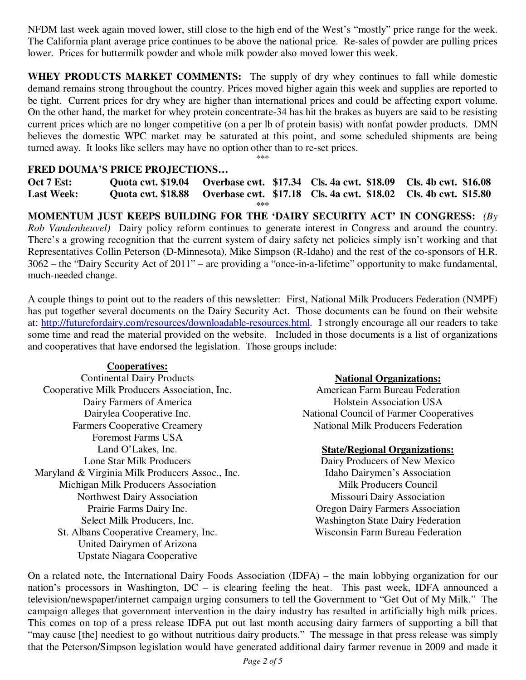NFDM last week again moved lower, still close to the high end of the West's "mostly" price range for the week. The California plant average price continues to be above the national price. Re-sales of powder are pulling prices lower. Prices for buttermilk powder and whole milk powder also moved lower this week.

**WHEY PRODUCTS MARKET COMMENTS:** The supply of dry whey continues to fall while domestic demand remains strong throughout the country. Prices moved higher again this week and supplies are reported to be tight. Current prices for dry whey are higher than international prices and could be affecting export volume. On the other hand, the market for whey protein concentrate-34 has hit the brakes as buyers are said to be resisting current prices which are no longer competitive (on a per lb of protein basis) with nonfat powder products. DMN believes the domestic WPC market may be saturated at this point, and some scheduled shipments are being turned away. It looks like sellers may have no option other than to re-set prices.

\*\*\*

# **FRED DOUMA'S PRICE PROJECTIONS…**

**Oct 7 Est: Quota cwt. \$19.04 Overbase cwt. \$17.34 Cls. 4a cwt. \$18.09 Cls. 4b cwt. \$16.08 Last Week: Quota cwt. \$18.88 Overbase cwt. \$17.18 Cls. 4a cwt. \$18.02 Cls. 4b cwt. \$15.80 \*\*\*** 

**MOMENTUM JUST KEEPS BUILDING FOR THE 'DAIRY SECURITY ACT' IN CONGRESS:** *(By Rob Vandenheuvel)* Dairy policy reform continues to generate interest in Congress and around the country. There's a growing recognition that the current system of dairy safety net policies simply isn't working and that Representatives Collin Peterson (D-Minnesota), Mike Simpson (R-Idaho) and the rest of the co-sponsors of H.R. 3062 – the "Dairy Security Act of 2011" – are providing a "once-in-a-lifetime" opportunity to make fundamental, much-needed change.

A couple things to point out to the readers of this newsletter: First, National Milk Producers Federation (NMPF) has put together several documents on the Dairy Security Act. Those documents can be found on their website at: http://futurefordairy.com/resources/downloadable-resources.html. I strongly encourage all our readers to take some time and read the material provided on the website. Included in those documents is a list of organizations and cooperatives that have endorsed the legislation. Those groups include:

# **Cooperatives:**

Continental Dairy Products Cooperative Milk Producers Association, Inc. Dairy Farmers of America Dairylea Cooperative Inc. Farmers Cooperative Creamery Foremost Farms USA Land O'Lakes, Inc. Lone Star Milk Producers Maryland & Virginia Milk Producers Assoc., Inc. Michigan Milk Producers Association Northwest Dairy Association Prairie Farms Dairy Inc. Select Milk Producers, Inc. St. Albans Cooperative Creamery, Inc. United Dairymen of Arizona Upstate Niagara Cooperative

# **National Organizations:**

American Farm Bureau Federation Holstein Association USA National Council of Farmer Cooperatives National Milk Producers Federation

#### **State/Regional Organizations:**

Dairy Producers of New Mexico Idaho Dairymen's Association Milk Producers Council Missouri Dairy Association Oregon Dairy Farmers Association Washington State Dairy Federation Wisconsin Farm Bureau Federation

On a related note, the International Dairy Foods Association (IDFA) – the main lobbying organization for our nation's processors in Washington, DC – is clearing feeling the heat. This past week, IDFA announced a television/newspaper/internet campaign urging consumers to tell the Government to "Get Out of My Milk." The campaign alleges that government intervention in the dairy industry has resulted in artificially high milk prices. This comes on top of a press release IDFA put out last month accusing dairy farmers of supporting a bill that "may cause [the] neediest to go without nutritious dairy products." The message in that press release was simply that the Peterson/Simpson legislation would have generated additional dairy farmer revenue in 2009 and made it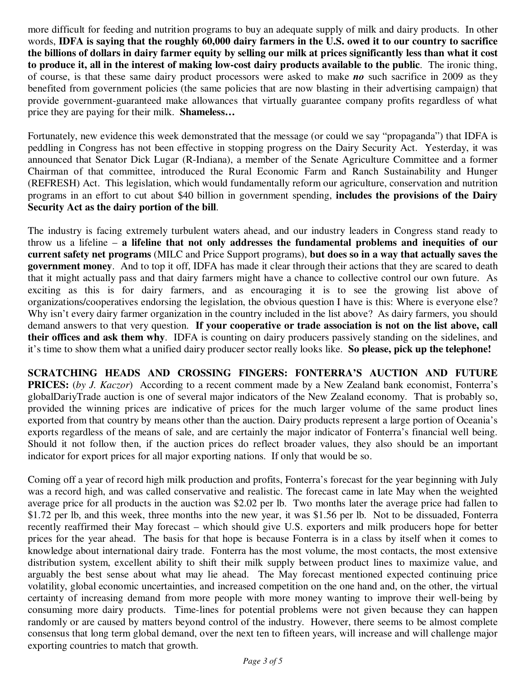more difficult for feeding and nutrition programs to buy an adequate supply of milk and dairy products. In other words, **IDFA is saying that the roughly 60,000 dairy farmers in the U.S. owed it to our country to sacrifice the billions of dollars in dairy farmer equity by selling our milk at prices significantly less than what it cost to produce it, all in the interest of making low-cost dairy products available to the public**. The ironic thing, of course, is that these same dairy product processors were asked to make *no* such sacrifice in 2009 as they benefited from government policies (the same policies that are now blasting in their advertising campaign) that provide government-guaranteed make allowances that virtually guarantee company profits regardless of what price they are paying for their milk. **Shameless…**

Fortunately, new evidence this week demonstrated that the message (or could we say "propaganda") that IDFA is peddling in Congress has not been effective in stopping progress on the Dairy Security Act. Yesterday, it was announced that Senator Dick Lugar (R-Indiana), a member of the Senate Agriculture Committee and a former Chairman of that committee, introduced the Rural Economic Farm and Ranch Sustainability and Hunger (REFRESH) Act. This legislation, which would fundamentally reform our agriculture, conservation and nutrition programs in an effort to cut about \$40 billion in government spending, **includes the provisions of the Dairy Security Act as the dairy portion of the bill**.

The industry is facing extremely turbulent waters ahead, and our industry leaders in Congress stand ready to throw us a lifeline – **a lifeline that not only addresses the fundamental problems and inequities of our current safety net programs** (MILC and Price Support programs), **but does so in a way that actually saves the government money**. And to top it off, IDFA has made it clear through their actions that they are scared to death that it might actually pass and that dairy farmers might have a chance to collective control our own future. As exciting as this is for dairy farmers, and as encouraging it is to see the growing list above of organizations/cooperatives endorsing the legislation, the obvious question I have is this: Where is everyone else? Why isn't every dairy farmer organization in the country included in the list above? As dairy farmers, you should demand answers to that very question. **If your cooperative or trade association is not on the list above, call their offices and ask them why**. IDFA is counting on dairy producers passively standing on the sidelines, and it's time to show them what a unified dairy producer sector really looks like. **So please, pick up the telephone!**

**SCRATCHING HEADS AND CROSSING FINGERS: FONTERRA'S AUCTION AND FUTURE PRICES:** (*by J. Kaczor*) According to a recent comment made by a New Zealand bank economist, Fonterra's globalDariyTrade auction is one of several major indicators of the New Zealand economy. That is probably so, provided the winning prices are indicative of prices for the much larger volume of the same product lines exported from that country by means other than the auction. Dairy products represent a large portion of Oceania's exports regardless of the means of sale, and are certainly the major indicator of Fonterra's financial well being. Should it not follow then, if the auction prices do reflect broader values, they also should be an important indicator for export prices for all major exporting nations. If only that would be so.

Coming off a year of record high milk production and profits, Fonterra's forecast for the year beginning with July was a record high, and was called conservative and realistic. The forecast came in late May when the weighted average price for all products in the auction was \$2.02 per lb. Two months later the average price had fallen to \$1.72 per lb, and this week, three months into the new year, it was \$1.56 per lb. Not to be dissuaded, Fonterra recently reaffirmed their May forecast – which should give U.S. exporters and milk producers hope for better prices for the year ahead. The basis for that hope is because Fonterra is in a class by itself when it comes to knowledge about international dairy trade. Fonterra has the most volume, the most contacts, the most extensive distribution system, excellent ability to shift their milk supply between product lines to maximize value, and arguably the best sense about what may lie ahead. The May forecast mentioned expected continuing price volatility, global economic uncertainties, and increased competition on the one hand and, on the other, the virtual certainty of increasing demand from more people with more money wanting to improve their well-being by consuming more dairy products. Time-lines for potential problems were not given because they can happen randomly or are caused by matters beyond control of the industry. However, there seems to be almost complete consensus that long term global demand, over the next ten to fifteen years, will increase and will challenge major exporting countries to match that growth.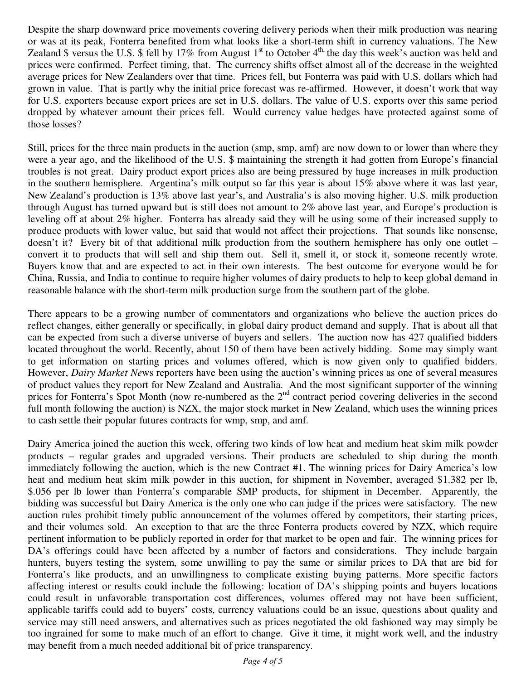Despite the sharp downward price movements covering delivery periods when their milk production was nearing or was at its peak, Fonterra benefited from what looks like a short-term shift in currency valuations. The New Zealand \$ versus the U.S. \$ fell by 17% from August 1<sup>st</sup> to October 4<sup>th,</sup> the day this week's auction was held and prices were confirmed. Perfect timing, that. The currency shifts offset almost all of the decrease in the weighted average prices for New Zealanders over that time. Prices fell, but Fonterra was paid with U.S. dollars which had grown in value. That is partly why the initial price forecast was re-affirmed. However, it doesn't work that way for U.S. exporters because export prices are set in U.S. dollars. The value of U.S. exports over this same period dropped by whatever amount their prices fell. Would currency value hedges have protected against some of those losses?

Still, prices for the three main products in the auction (smp, smp, amf) are now down to or lower than where they were a year ago, and the likelihood of the U.S. \$ maintaining the strength it had gotten from Europe's financial troubles is not great. Dairy product export prices also are being pressured by huge increases in milk production in the southern hemisphere. Argentina's milk output so far this year is about 15% above where it was last year, New Zealand's production is 13% above last year's, and Australia's is also moving higher. U.S. milk production through August has turned upward but is still does not amount to 2% above last year, and Europe's production is leveling off at about 2% higher. Fonterra has already said they will be using some of their increased supply to produce products with lower value, but said that would not affect their projections. That sounds like nonsense, doesn't it? Every bit of that additional milk production from the southern hemisphere has only one outlet – convert it to products that will sell and ship them out. Sell it, smell it, or stock it, someone recently wrote. Buyers know that and are expected to act in their own interests. The best outcome for everyone would be for China, Russia, and India to continue to require higher volumes of dairy products to help to keep global demand in reasonable balance with the short-term milk production surge from the southern part of the globe.

There appears to be a growing number of commentators and organizations who believe the auction prices do reflect changes, either generally or specifically, in global dairy product demand and supply. That is about all that can be expected from such a diverse universe of buyers and sellers. The auction now has 427 qualified bidders located throughout the world. Recently, about 150 of them have been actively bidding. Some may simply want to get information on starting prices and volumes offered, which is now given only to qualified bidders. However, *Dairy Market Ne*ws reporters have been using the auction's winning prices as one of several measures of product values they report for New Zealand and Australia. And the most significant supporter of the winning prices for Fonterra's Spot Month (now re-numbered as the 2<sup>nd</sup> contract period covering deliveries in the second full month following the auction) is NZX, the major stock market in New Zealand, which uses the winning prices to cash settle their popular futures contracts for wmp, smp, and amf.

Dairy America joined the auction this week, offering two kinds of low heat and medium heat skim milk powder products – regular grades and upgraded versions. Their products are scheduled to ship during the month immediately following the auction, which is the new Contract #1. The winning prices for Dairy America's low heat and medium heat skim milk powder in this auction, for shipment in November, averaged \$1.382 per lb, \$.056 per lb lower than Fonterra's comparable SMP products, for shipment in December. Apparently, the bidding was successful but Dairy America is the only one who can judge if the prices were satisfactory. The new auction rules prohibit timely public announcement of the volumes offered by competitors, their starting prices, and their volumes sold. An exception to that are the three Fonterra products covered by NZX, which require pertinent information to be publicly reported in order for that market to be open and fair. The winning prices for DA's offerings could have been affected by a number of factors and considerations. They include bargain hunters, buyers testing the system, some unwilling to pay the same or similar prices to DA that are bid for Fonterra's like products, and an unwillingness to complicate existing buying patterns. More specific factors affecting interest or results could include the following: location of DA's shipping points and buyers locations could result in unfavorable transportation cost differences, volumes offered may not have been sufficient, applicable tariffs could add to buyers' costs, currency valuations could be an issue, questions about quality and service may still need answers, and alternatives such as prices negotiated the old fashioned way may simply be too ingrained for some to make much of an effort to change. Give it time, it might work well, and the industry may benefit from a much needed additional bit of price transparency.